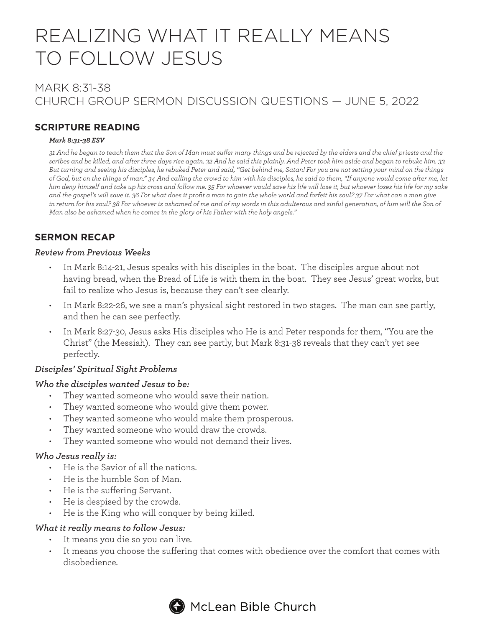# REALIZING WHAT IT REALLY MEANS TO FOLLOW JESUS

# MARK 8:31-38 CHURCH GROUP SERMON DISCUSSION QUESTIONS — JUNE 5, 2022

# **SCRIPTURE READING**

#### *Mark 8:31-38 ESV*

*31 And he began to teach them that the Son of Man must suffer many things and be rejected by the elders and the chief priests and the scribes and be killed, and after three days rise again. 32 And he said this plainly. And Peter took him aside and began to rebuke him. 33 But turning and seeing his disciples, he rebuked Peter and said, "Get behind me, Satan! For you are not setting your mind on the things of God, but on the things of man." 34 And calling the crowd to him with his disciples, he said to them, "If anyone would come after me, let him deny himself and take up his cross and follow me. 35 For whoever would save his life will lose it, but whoever loses his life for my sake and the gospel's will save it. 36 For what does it profit a man to gain the whole world and forfeit his soul? 37 For what can a man give*  in return for his soul? 38 For whoever is ashamed of me and of my words in this adulterous and sinful generation, of him will the Son of *Man also be ashamed when he comes in the glory of his Father with the holy angels."*

# **SERMON RECAP**

#### *Review from Previous Weeks*

- In Mark 8:14-21, Jesus speaks with his disciples in the boat. The disciples argue about not having bread, when the Bread of Life is with them in the boat. They see Jesus' great works, but fail to realize who Jesus is, because they can't see clearly.
- In Mark 8:22-26, we see a man's physical sight restored in two stages. The man can see partly, and then he can see perfectly.
- In Mark 8:27-30, Jesus asks His disciples who He is and Peter responds for them, "You are the Christ" (the Messiah). They can see partly, but Mark 8:31-38 reveals that they can't yet see perfectly.

## *Disciples' Spiritual Sight Problems*

#### *Who the disciples wanted Jesus to be:*

- They wanted someone who would save their nation.
- They wanted someone who would give them power.
- They wanted someone who would make them prosperous.
- They wanted someone who would draw the crowds.
- They wanted someone who would not demand their lives.

#### *Who Jesus really is:*

- He is the Savior of all the nations.
- He is the humble Son of Man.
- He is the suffering Servant.
- He is despised by the crowds.
- He is the King who will conquer by being killed.

## *What it really means to follow Jesus:*

- It means you die so you can live.
- It means you choose the suffering that comes with obedience over the comfort that comes with disobedience.

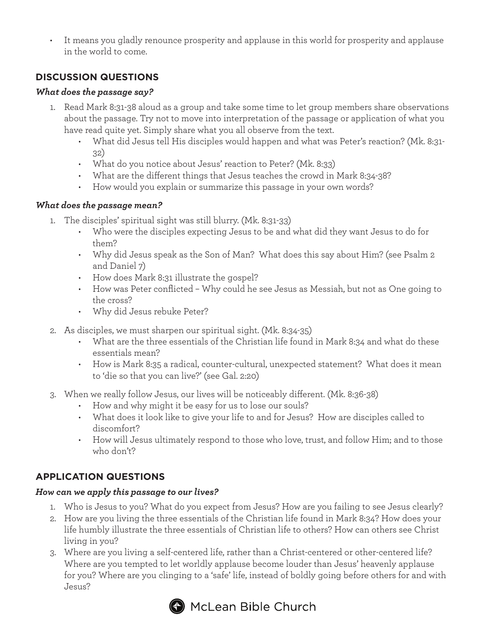• It means you gladly renounce prosperity and applause in this world for prosperity and applause in the world to come.

# **DISCUSSION QUESTIONS**

## *What does the passage say?*

- 1. Read Mark 8:31-38 aloud as a group and take some time to let group members share observations about the passage. Try not to move into interpretation of the passage or application of what you have read quite yet. Simply share what you all observe from the text.
	- What did Jesus tell His disciples would happen and what was Peter's reaction? (Mk. 8:31- 32)
	- What do you notice about Jesus' reaction to Peter? (Mk. 8:33)
	- What are the different things that Jesus teaches the crowd in Mark 8:34-38?
	- How would you explain or summarize this passage in your own words?

## *What does the passage mean?*

- 1. The disciples' spiritual sight was still blurry. (Mk. 8:31-33)
	- Who were the disciples expecting Jesus to be and what did they want Jesus to do for them?
	- Why did Jesus speak as the Son of Man? What does this say about Him? (see Psalm 2 and Daniel 7)
	- How does Mark 8:31 illustrate the gospel?
	- How was Peter conflicted Why could he see Jesus as Messiah, but not as One going to the cross?
	- Why did Jesus rebuke Peter?
- 2. As disciples, we must sharpen our spiritual sight. (Mk. 8:34-35)
	- What are the three essentials of the Christian life found in Mark 8:34 and what do these essentials mean?
	- How is Mark 8:35 a radical, counter-cultural, unexpected statement? What does it mean to 'die so that you can live?' (see Gal. 2:20)
- 3. When we really follow Jesus, our lives will be noticeably different. (Mk. 8:36-38)
	- How and why might it be easy for us to lose our souls?
	- What does it look like to give your life to and for Jesus? How are disciples called to discomfort?
	- How will Jesus ultimately respond to those who love, trust, and follow Him; and to those who don't?

# **APPLICATION QUESTIONS**

#### *How can we apply this passage to our lives?*

- 1. Who is Jesus to you? What do you expect from Jesus? How are you failing to see Jesus clearly?
- 2. How are you living the three essentials of the Christian life found in Mark 8:34? How does your life humbly illustrate the three essentials of Christian life to others? How can others see Christ living in you?
- 3. Where are you living a self-centered life, rather than a Christ-centered or other-centered life? Where are you tempted to let worldly applause become louder than Jesus' heavenly applause for you? Where are you clinging to a 'safe' life, instead of boldly going before others for and with Jesus?